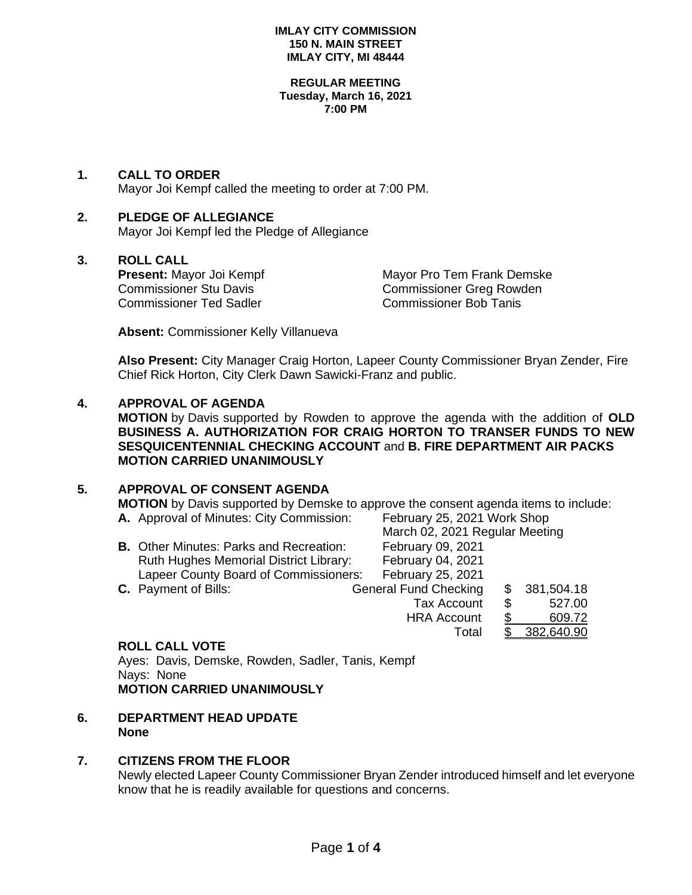#### **REGULAR MEETING Tuesday, March 16, 2021 7:00 PM**

## **1. CALL TO ORDER**

Mayor Joi Kempf called the meeting to order at 7:00 PM.

# **2. PLEDGE OF ALLEGIANCE**

Mayor Joi Kempf led the Pledge of Allegiance

## **3. ROLL CALL**

Commissioner Ted Sadler Commissioner Bob Tanis

**Present:** Mayor Joi Kempf Mayor Pro Tem Frank Demske Commissioner Stu Davis<br>
Commissioner Stu Davis Commissioner Greg Rowden

**Absent:** Commissioner Kelly Villanueva

**Also Present:** City Manager Craig Horton, Lapeer County Commissioner Bryan Zender, Fire Chief Rick Horton, City Clerk Dawn Sawicki-Franz and public.

## **4. APPROVAL OF AGENDA**

**MOTION** by Davis supported by Rowden to approve the agenda with the addition of **OLD BUSINESS A. AUTHORIZATION FOR CRAIG HORTON TO TRANSER FUNDS TO NEW SESQUICENTENNIAL CHECKING ACCOUNT** and **B. FIRE DEPARTMENT AIR PACKS MOTION CARRIED UNANIMOUSLY**

### **5. APPROVAL OF CONSENT AGENDA**

**MOTION** by Davis supported by Demske to approve the consent agenda items to include: **A.** Approval of Minutes: City Commission: February 25, 2021 Work Shop

|                                                | March 02, 2021 Regular Meeting |              |
|------------------------------------------------|--------------------------------|--------------|
| <b>B.</b> Other Minutes: Parks and Recreation: | February 09, 2021              |              |
| Ruth Hughes Memorial District Library:         | February 04, 2021              |              |
| Lapeer County Board of Commissioners:          | February 25, 2021              |              |
| <b>C.</b> Payment of Bills:                    | <b>General Fund Checking</b>   | \$381,504.18 |
|                                                | <b>Tax Account</b>             | \$<br>527.00 |
|                                                | <b>HRA Account</b>             | 609.72       |
|                                                | Total                          | 382,640.90   |

### **ROLL CALL VOTE**

Ayes: Davis, Demske, Rowden, Sadler, Tanis, Kempf Nays: None **MOTION CARRIED UNANIMOUSLY**

### **6. DEPARTMENT HEAD UPDATE None**

### **7. CITIZENS FROM THE FLOOR**

Newly elected Lapeer County Commissioner Bryan Zender introduced himself and let everyone know that he is readily available for questions and concerns.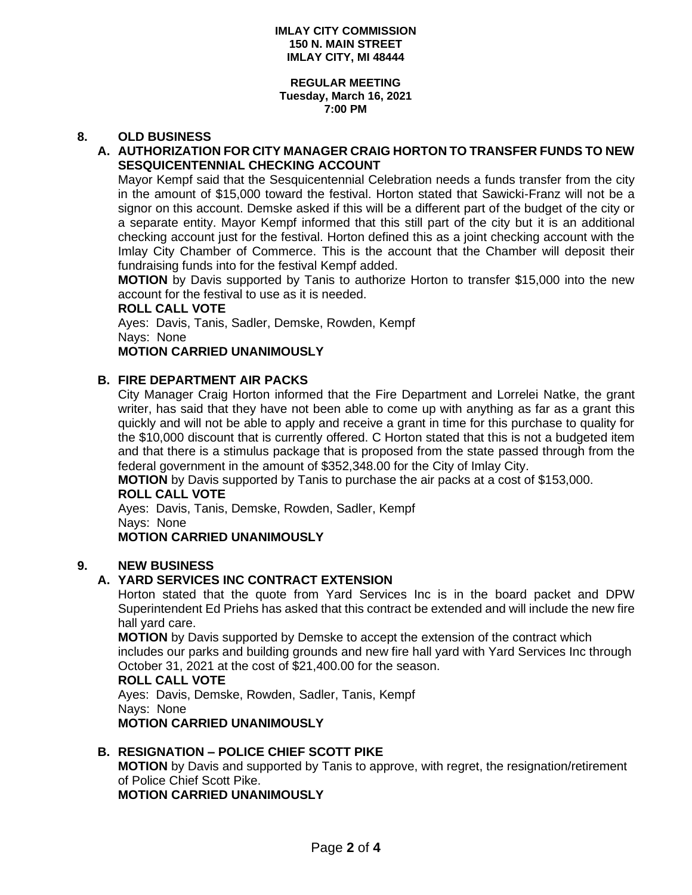#### **REGULAR MEETING Tuesday, March 16, 2021 7:00 PM**

## **8. OLD BUSINESS**

## **A. AUTHORIZATION FOR CITY MANAGER CRAIG HORTON TO TRANSFER FUNDS TO NEW SESQUICENTENNIAL CHECKING ACCOUNT**

Mayor Kempf said that the Sesquicentennial Celebration needs a funds transfer from the city in the amount of \$15,000 toward the festival. Horton stated that Sawicki-Franz will not be a signor on this account. Demske asked if this will be a different part of the budget of the city or a separate entity. Mayor Kempf informed that this still part of the city but it is an additional checking account just for the festival. Horton defined this as a joint checking account with the Imlay City Chamber of Commerce. This is the account that the Chamber will deposit their fundraising funds into for the festival Kempf added.

**MOTION** by Davis supported by Tanis to authorize Horton to transfer \$15,000 into the new account for the festival to use as it is needed.

#### **ROLL CALL VOTE**

Ayes: Davis, Tanis, Sadler, Demske, Rowden, Kempf Nays: None

## **MOTION CARRIED UNANIMOUSLY**

## **B. FIRE DEPARTMENT AIR PACKS**

City Manager Craig Horton informed that the Fire Department and Lorrelei Natke, the grant writer, has said that they have not been able to come up with anything as far as a grant this quickly and will not be able to apply and receive a grant in time for this purchase to quality for the \$10,000 discount that is currently offered. C Horton stated that this is not a budgeted item and that there is a stimulus package that is proposed from the state passed through from the federal government in the amount of \$352,348.00 for the City of Imlay City.

**MOTION** by Davis supported by Tanis to purchase the air packs at a cost of \$153,000.

### **ROLL CALL VOTE**

Ayes: Davis, Tanis, Demske, Rowden, Sadler, Kempf Nays: None

# **MOTION CARRIED UNANIMOUSLY**

## **9. NEW BUSINESS**

## **A. YARD SERVICES INC CONTRACT EXTENSION**

Horton stated that the quote from Yard Services Inc is in the board packet and DPW Superintendent Ed Priehs has asked that this contract be extended and will include the new fire hall yard care.

**MOTION** by Davis supported by Demske to accept the extension of the contract which includes our parks and building grounds and new fire hall yard with Yard Services Inc through October 31, 2021 at the cost of \$21,400.00 for the season.

### **ROLL CALL VOTE**

Ayes: Davis, Demske, Rowden, Sadler, Tanis, Kempf Nays: None **MOTION CARRIED UNANIMOUSLY**

## **B. RESIGNATION – POLICE CHIEF SCOTT PIKE**

**MOTION** by Davis and supported by Tanis to approve, with regret, the resignation/retirement of Police Chief Scott Pike.

**MOTION CARRIED UNANIMOUSLY**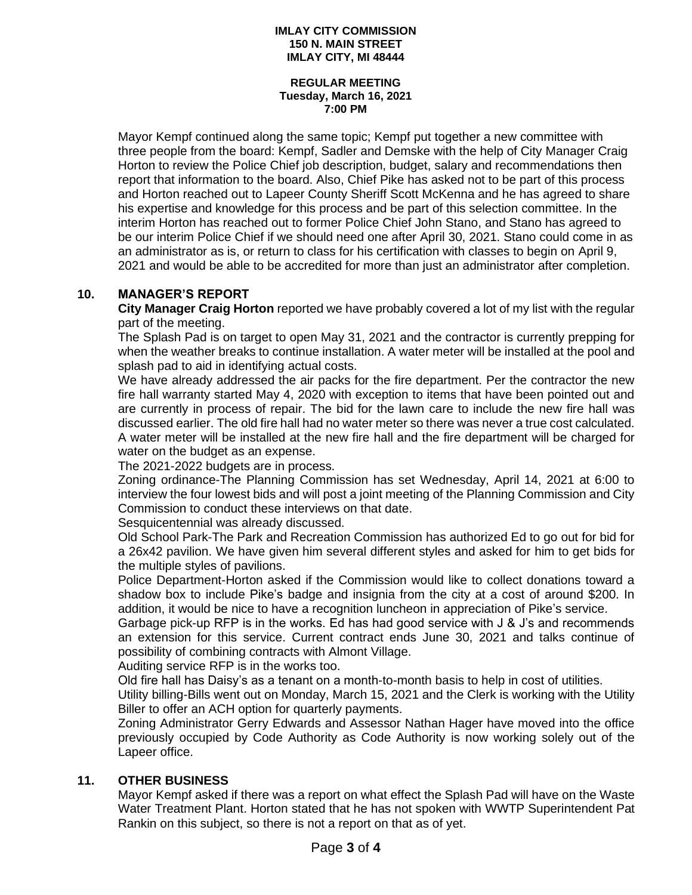#### **REGULAR MEETING Tuesday, March 16, 2021 7:00 PM**

Mayor Kempf continued along the same topic; Kempf put together a new committee with three people from the board: Kempf, Sadler and Demske with the help of City Manager Craig Horton to review the Police Chief job description, budget, salary and recommendations then report that information to the board. Also, Chief Pike has asked not to be part of this process and Horton reached out to Lapeer County Sheriff Scott McKenna and he has agreed to share his expertise and knowledge for this process and be part of this selection committee. In the interim Horton has reached out to former Police Chief John Stano, and Stano has agreed to be our interim Police Chief if we should need one after April 30, 2021. Stano could come in as an administrator as is, or return to class for his certification with classes to begin on April 9, 2021 and would be able to be accredited for more than just an administrator after completion.

# **10. MANAGER'S REPORT**

**City Manager Craig Horton** reported we have probably covered a lot of my list with the regular part of the meeting.

The Splash Pad is on target to open May 31, 2021 and the contractor is currently prepping for when the weather breaks to continue installation. A water meter will be installed at the pool and splash pad to aid in identifying actual costs.

We have already addressed the air packs for the fire department. Per the contractor the new fire hall warranty started May 4, 2020 with exception to items that have been pointed out and are currently in process of repair. The bid for the lawn care to include the new fire hall was discussed earlier. The old fire hall had no water meter so there was never a true cost calculated. A water meter will be installed at the new fire hall and the fire department will be charged for water on the budget as an expense.

The 2021-2022 budgets are in process.

Zoning ordinance-The Planning Commission has set Wednesday, April 14, 2021 at 6:00 to interview the four lowest bids and will post a joint meeting of the Planning Commission and City Commission to conduct these interviews on that date.

Sesquicentennial was already discussed.

Old School Park-The Park and Recreation Commission has authorized Ed to go out for bid for a 26x42 pavilion. We have given him several different styles and asked for him to get bids for the multiple styles of pavilions.

Police Department-Horton asked if the Commission would like to collect donations toward a shadow box to include Pike's badge and insignia from the city at a cost of around \$200. In addition, it would be nice to have a recognition luncheon in appreciation of Pike's service.

Garbage pick-up RFP is in the works. Ed has had good service with J & J's and recommends an extension for this service. Current contract ends June 30, 2021 and talks continue of possibility of combining contracts with Almont Village.

Auditing service RFP is in the works too.

Old fire hall has Daisy's as a tenant on a month-to-month basis to help in cost of utilities.

Utility billing-Bills went out on Monday, March 15, 2021 and the Clerk is working with the Utility Biller to offer an ACH option for quarterly payments.

Zoning Administrator Gerry Edwards and Assessor Nathan Hager have moved into the office previously occupied by Code Authority as Code Authority is now working solely out of the Lapeer office.

## **11. OTHER BUSINESS**

Mayor Kempf asked if there was a report on what effect the Splash Pad will have on the Waste Water Treatment Plant. Horton stated that he has not spoken with WWTP Superintendent Pat Rankin on this subject, so there is not a report on that as of yet.